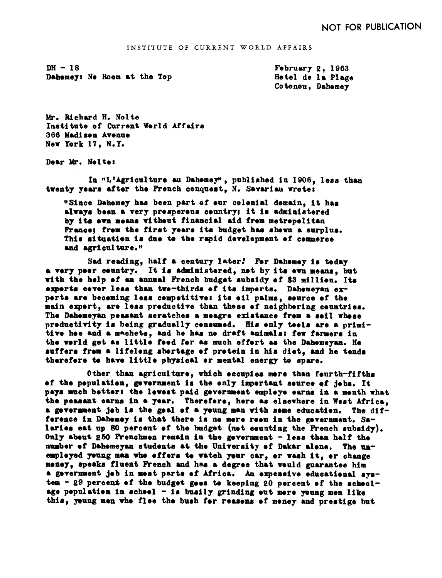$DH - 18$ Dahemey: Ne Roem at the Top February  $2.1963$ Hetel de la Plage Cotonou, Dahomey

Mr. Richard H. Nolte Institute of Current World Affairs 366 Madison Avenue New York 17, N.Y.

Dear Mr. Nelte:

In "L'Agriculture au Dahemey", published in 1906, less than twenty years after the French conquest. N. Savariau wrete:

"Since Dahomey has been part of our colonial domain, it has always been a very prospereus ceuntry; it is administered by its eva means without financial aid frem metrepolitan France; frem the first years its budget has shewn a surplus. This situation is due to the rapid development of commerce and agriculture."

Sad reading, half a century later! For Dahomey is today a very peer ceuntry. It is administered, not by its ewn means, but with the help of an annual French budget subsidy of \$3 million. Its experts cever less than twe-thirds of its imperts. Dahemeyan experts are beceming less competitive: its eil palms, source of the main expert, are less preductive than these of neighbering countries. The Dahemeyan peasant scratches a meagre existance frem a seil whese preductivity is being gradually censumed. His enly teels are a primitive hee and a machete, and he has no draft animals: few farmers in the world get as little food for as much effort as the Dahomeyan. He suffers from a lifelong shortage of protein in his diet, and he tends therefore to have little physical or mental energy to spare.

Other than agriculture, which eccupies mere than feurth-fifths of the population, government is the only important source of jobs. It pays much better: the lewest paid gevernment empleye earns in a menth what the peasant earns in a year. Therefere, here as elsewhere in West Africa, a gevernment jeb is the geal of a yeung man with seme education. The  $dif$ ference in Dahemey is that there is no more reem in the gevernment. Salaries eat up 80 percent of the budget (not counting the French subsidy). Only about 250 Frenchmen remain in the government - less than half the number of Dahemeyan students at the University of Dakar alene. The unempleyed yeung man who effers to watch yeur car, or wash it, or change meney, speaks fluent French and has a degree that would guarantee him a gevernment jeb in mest parts of Africa. An expensive educational system - 29 percent of the budget goes to keeping 20 percent of the schoolage pepulation in scheel  $-$  is busily grinding out more voung men like this, young men who flee the bush for reasons of money and prestige but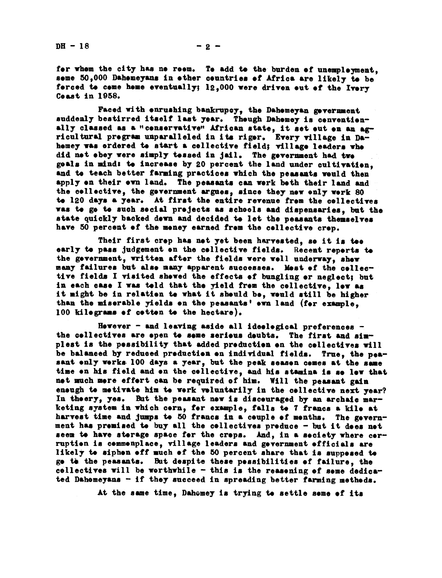$DH - 18$  -2 -

for whom the city has no room. To add to the burden of unemployment, seme  $50,000$  Dahomeyans in other countries of Africa are likely to be ferced to come home eventually;  $12,000$  were driven out of the Ivory Ceast in 1958.

Faced with enrushing bankrupcy, the Dahemeyan gevernment suddenly bestirred itself last year. Though Dahomey is conventionally classed as a "censervative" African state, it set out on an agricultural program unparalleled in its rigor. Every village in Dahemey was ordered to start a cellective field; village leaders who did net ebey were simply tessed in jail. The gevernment had two goals in mind: to increase by 20 percent the land under cultivation. and te teach better farming practices which the peasants weuld then apply on their own land. The peasants can work both their land and the collective, the government argues, since they now only work 80 to 120 days. a year. At first the entire revenue from the collectives was to go to such social projects as schools and dispensaries, but the state quickly backed down and decided to let the peasants themselves have 50 percent of the money earned from the collective crop.

Their first crep has net yet been harvested, so it is too early to pass judgement on the collective fields. Recent reports to the government, written after the fields were well underway, show many failures but also many apparent suece8ses. Most of the colleetive fields I visited showed the effects of bungling or neglect; but in each case I was told that the yield from the collective, low as it night be in relation te what it should bo, veuld still be higher than the miserable yields on the peasants' own land (for example, 100 kilograms of cotton to the hectare)

However  $-$  and leaving aside all ideological preferences  $$ the collectives are epen to some serious doubts. The first and simplest is the possibility that added production on the collectives will be balanced by reduced production on individual fields. True, the peasant only works 100 days a year, but the peak season comes at the same time on his field and on the cellective, and his stamina is so low that not much more effort can be required of him. Will the peasant gain enough to motivate him to work voluntarily in the collective next year? In theery, yes. But the peasant new is disceuraged by an archaic marketing system in which corn, for example, falls to 7 francs a kilo at harvest time and jumps to 50 francs in a couple of months. The government has premised te buy all the cellectives preduce - but it dees net seem to have storage space for the crops. And, in a society where corruption is commonplace, village leaders and government officials are likely to siphon off much of the 50 percent share that is supposed to ge the the peasants. But despite these pessibilities of failure, the collectives will be worthwhile  $-$  this is the reasoning of some dedica-- this is the reasoning of some dedica-<br>d in spreading better farming methods.<br>mey is trying to settle some of its ted Dahomeyans - if they succeed in spreading better farming methods.

At the same time, Dahomey is trying to settle some of its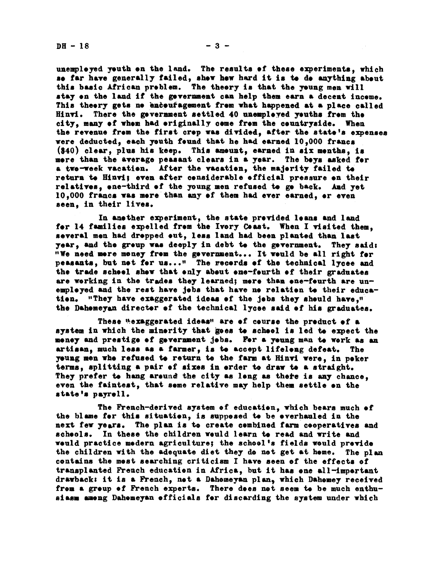unemployed youth on the land. The results of these experiments, which so far have generally failed, show how hard it is to do anything about this basic African problem. The theory is that the young men will stay on the land if the government can help them earn a decent income. This theery gets ne enceufagement from what happened at a place called Hinvi. There the gevernment settled 40 unemployed youths from the ctty many of whom had originally come from the countryside, When the revenue from the first crop was divided, after the state's expenses were deducted, each youth found that he had earned  $10,000$  francs  $(340)$  clear, plus his keep. This amount, earned in six months, is more than the average peasant clears in a year. The boys asked for a two-week vacation. After the vacation, the majority failed to return to Hinvi; even after considerable official pressure on their relatives, one-third of the young men refused to go back. And yet 10,000 francs was mere than any of them had ever earned, or even seen, in their lives.

In another experiment, the state provided loans and land for 14 families expelled from the Ivory Coast. When I visited them. several men had drepped out, less land had been planted than last year, and the group was deeply in debt to the government. They said: "We needmore money from the government... It would be all right for peasants, but not for us..." The records of the technical lycee and the trade school show that only about one-fourth of their graduates are working in the trades they learned; more than ene-fourth are unemployed and the rest have Jobs that have no relation to their education. "They have exaggerated ideas of the jobs they should have," the Dahomeyan director of the technical lycee said of his graduates.

These wexaggerated ideas" are ef course the preduct of a system in which the minority that goes to school is led to expect the money and prestige of government jobs. For a young man to work as an artisan, much less as a farmer, is to accept lifelong defeat. The young men who refused to return to the farm at Hinvi were, in poker terms, splitting a pair ef sixes in order to draw to a straight They prefer to hang around the city as long as there is any chance. even the faintest, that some relative may help them settle on the state's payrell.

The French-derived system of education, which bears much of the blame for this situation, is supposed to be overhauled in the next few years. The plan is to create combined farm cooperatives and schools. In these the children would learn to read and write and would practice modern agriculture; the school's fields would previde the children with the adequate diet they do not get at home. The plan contains the most searching criticism I have seen of the effects of transplanted French education in Africa, but it has one all-imprtant drawback: it is a French, not a Dahomeyan plan, which Dahomey received from a group of French experts. There does not seem to be much enthusiasm among Dahomeyan officials for discarding the system under which